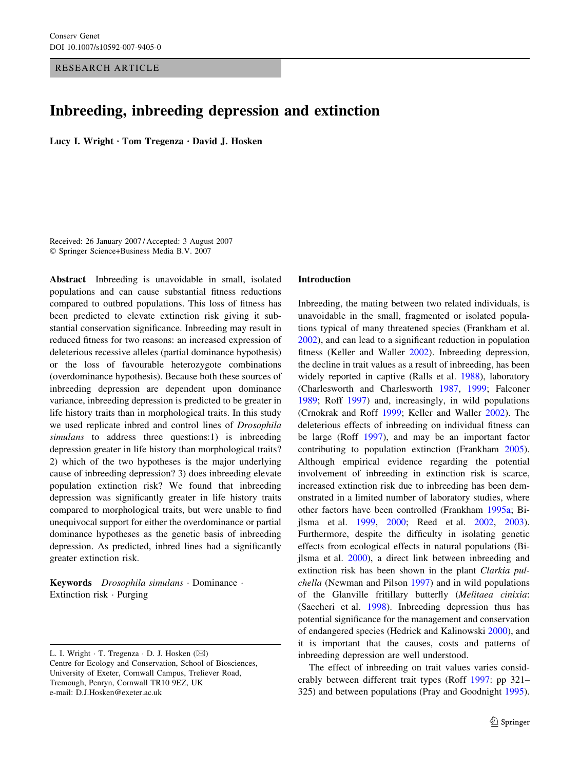RESEARCH ARTICLE

# Inbreeding, inbreeding depression and extinction

Lucy I. Wright · Tom Tregenza · David J. Hosken

Received: 26 January 2007 / Accepted: 3 August 2007 Springer Science+Business Media B.V. 2007

Abstract Inbreeding is unavoidable in small, isolated populations and can cause substantial fitness reductions compared to outbred populations. This loss of fitness has been predicted to elevate extinction risk giving it substantial conservation significance. Inbreeding may result in reduced fitness for two reasons: an increased expression of deleterious recessive alleles (partial dominance hypothesis) or the loss of favourable heterozygote combinations (overdominance hypothesis). Because both these sources of inbreeding depression are dependent upon dominance variance, inbreeding depression is predicted to be greater in life history traits than in morphological traits. In this study we used replicate inbred and control lines of Drosophila simulans to address three questions:1) is inbreeding depression greater in life history than morphological traits? 2) which of the two hypotheses is the major underlying cause of inbreeding depression? 3) does inbreeding elevate population extinction risk? We found that inbreeding depression was significantly greater in life history traits compared to morphological traits, but were unable to find unequivocal support for either the overdominance or partial dominance hypotheses as the genetic basis of inbreeding depression. As predicted, inbred lines had a significantly greater extinction risk.

Keywords Drosophila simulans · Dominance · Extinction risk  $\cdot$  Purging

#### Introduction

Inbreeding, the mating between two related individuals, is unavoidable in the small, fragmented or isolated populations typical of many threatened species (Frankham et al. [2002](#page-9-0)), and can lead to a significant reduction in population fitness (Keller and Waller [2002\)](#page-9-0). Inbreeding depression, the decline in trait values as a result of inbreeding, has been widely reported in captive (Ralls et al. [1988](#page-9-0)), laboratory (Charlesworth and Charlesworth [1987](#page-9-0), [1999;](#page-9-0) Falconer [1989](#page-9-0); Roff [1997\)](#page-9-0) and, increasingly, in wild populations (Crnokrak and Roff [1999](#page-9-0); Keller and Waller [2002\)](#page-9-0). The deleterious effects of inbreeding on individual fitness can be large (Roff [1997](#page-9-0)), and may be an important factor contributing to population extinction (Frankham [2005](#page-9-0)). Although empirical evidence regarding the potential involvement of inbreeding in extinction risk is scarce, increased extinction risk due to inbreeding has been demonstrated in a limited number of laboratory studies, where other factors have been controlled (Frankham [1995a;](#page-9-0) Bijlsma et al. [1999,](#page-9-0) [2000](#page-9-0); Reed et al. [2002](#page-9-0), [2003](#page-9-0)). Furthermore, despite the difficulty in isolating genetic effects from ecological effects in natural populations (Bijlsma et al. [2000](#page-9-0)), a direct link between inbreeding and extinction risk has been shown in the plant Clarkia pulchella (Newman and Pilson [1997\)](#page-9-0) and in wild populations of the Glanville fritillary butterfly (Melitaea cinixia: (Saccheri et al. [1998](#page-10-0)). Inbreeding depression thus has potential significance for the management and conservation of endangered species (Hedrick and Kalinowski [2000](#page-9-0)), and it is important that the causes, costs and patterns of inbreeding depression are well understood.

The effect of inbreeding on trait values varies considerably between different trait types (Roff [1997](#page-9-0): pp 321– 325) and between populations (Pray and Goodnight [1995](#page-9-0)).

L. I. Wright  $\cdot$  T. Tregenza  $\cdot$  D. J. Hosken ( $\boxtimes$ ) Centre for Ecology and Conservation, School of Biosciences, University of Exeter, Cornwall Campus, Treliever Road, Tremough, Penryn, Cornwall TR10 9EZ, UK e-mail: D.J.Hosken@exeter.ac.uk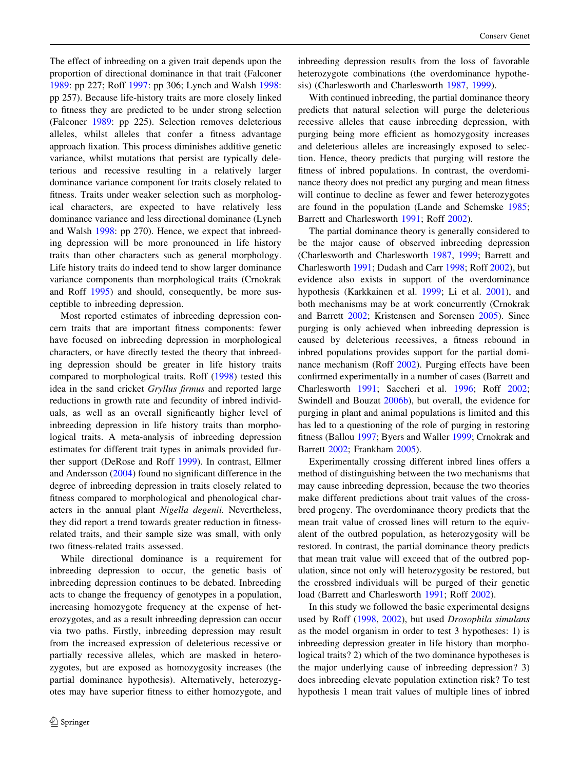The effect of inbreeding on a given trait depends upon the proportion of directional dominance in that trait (Falconer [1989:](#page-9-0) pp 227; Roff [1997:](#page-9-0) pp 306; Lynch and Walsh [1998](#page-9-0): pp 257). Because life-history traits are more closely linked to fitness they are predicted to be under strong selection (Falconer [1989:](#page-9-0) pp 225). Selection removes deleterious alleles, whilst alleles that confer a fitness advantage approach fixation. This process diminishes additive genetic variance, whilst mutations that persist are typically deleterious and recessive resulting in a relatively larger dominance variance component for traits closely related to fitness. Traits under weaker selection such as morphological characters, are expected to have relatively less dominance variance and less directional dominance (Lynch and Walsh [1998:](#page-9-0) pp 270). Hence, we expect that inbreeding depression will be more pronounced in life history traits than other characters such as general morphology. Life history traits do indeed tend to show larger dominance variance components than morphological traits (Crnokrak and Roff [1995](#page-9-0)) and should, consequently, be more susceptible to inbreeding depression.

Most reported estimates of inbreeding depression concern traits that are important fitness components: fewer have focused on inbreeding depression in morphological characters, or have directly tested the theory that inbreeding depression should be greater in life history traits compared to morphological traits. Roff [\(1998](#page-10-0)) tested this idea in the sand cricket Gryllus firmus and reported large reductions in growth rate and fecundity of inbred individuals, as well as an overall significantly higher level of inbreeding depression in life history traits than morphological traits. A meta-analysis of inbreeding depression estimates for different trait types in animals provided further support (DeRose and Roff [1999\)](#page-9-0). In contrast, Ellmer and Andersson [\(2004](#page-9-0)) found no significant difference in the degree of inbreeding depression in traits closely related to fitness compared to morphological and phenological characters in the annual plant Nigella degenii. Nevertheless, they did report a trend towards greater reduction in fitnessrelated traits, and their sample size was small, with only two fitness-related traits assessed.

While directional dominance is a requirement for inbreeding depression to occur, the genetic basis of inbreeding depression continues to be debated. Inbreeding acts to change the frequency of genotypes in a population, increasing homozygote frequency at the expense of heterozygotes, and as a result inbreeding depression can occur via two paths. Firstly, inbreeding depression may result from the increased expression of deleterious recessive or partially recessive alleles, which are masked in heterozygotes, but are exposed as homozygosity increases (the partial dominance hypothesis). Alternatively, heterozygotes may have superior fitness to either homozygote, and inbreeding depression results from the loss of favorable heterozygote combinations (the overdominance hypothesis) (Charlesworth and Charlesworth [1987,](#page-9-0) [1999\)](#page-9-0).

With continued inbreeding, the partial dominance theory predicts that natural selection will purge the deleterious recessive alleles that cause inbreeding depression, with purging being more efficient as homozygosity increases and deleterious alleles are increasingly exposed to selection. Hence, theory predicts that purging will restore the fitness of inbred populations. In contrast, the overdominance theory does not predict any purging and mean fitness will continue to decline as fewer and fewer heterozygotes are found in the population (Lande and Schemske [1985](#page-9-0); Barrett and Charlesworth [1991](#page-9-0); Roff [2002\)](#page-10-0).

The partial dominance theory is generally considered to be the major cause of observed inbreeding depression (Charlesworth and Charlesworth [1987](#page-9-0), [1999;](#page-9-0) Barrett and Charlesworth [1991](#page-9-0); Dudash and Carr [1998](#page-9-0); Roff [2002](#page-10-0)), but evidence also exists in support of the overdominance hypothesis (Karkkainen et al. [1999](#page-9-0); Li et al. [2001](#page-9-0)), and both mechanisms may be at work concurrently (Crnokrak and Barrett [2002](#page-9-0); Kristensen and Sorensen [2005\)](#page-9-0). Since purging is only achieved when inbreeding depression is caused by deleterious recessives, a fitness rebound in inbred populations provides support for the partial dominance mechanism (Roff [2002\)](#page-10-0). Purging effects have been confirmed experimentally in a number of cases (Barrett and Charlesworth [1991](#page-9-0); Saccheri et al. [1996](#page-10-0); Roff [2002](#page-10-0); Swindell and Bouzat [2006b](#page-10-0)), but overall, the evidence for purging in plant and animal populations is limited and this has led to a questioning of the role of purging in restoring fitness (Ballou [1997;](#page-9-0) Byers and Waller [1999](#page-9-0); Crnokrak and Barrett [2002](#page-9-0); Frankham [2005](#page-9-0)).

Experimentally crossing different inbred lines offers a method of distinguishing between the two mechanisms that may cause inbreeding depression, because the two theories make different predictions about trait values of the crossbred progeny. The overdominance theory predicts that the mean trait value of crossed lines will return to the equivalent of the outbred population, as heterozygosity will be restored. In contrast, the partial dominance theory predicts that mean trait value will exceed that of the outbred population, since not only will heterozygosity be restored, but the crossbred individuals will be purged of their genetic load (Barrett and Charlesworth [1991](#page-9-0); Roff [2002\)](#page-10-0).

In this study we followed the basic experimental designs used by Roff ([1998](#page-10-0), [2002](#page-10-0)), but used Drosophila simulans as the model organism in order to test 3 hypotheses: 1) is inbreeding depression greater in life history than morphological traits? 2) which of the two dominance hypotheses is the major underlying cause of inbreeding depression? 3) does inbreeding elevate population extinction risk? To test hypothesis 1 mean trait values of multiple lines of inbred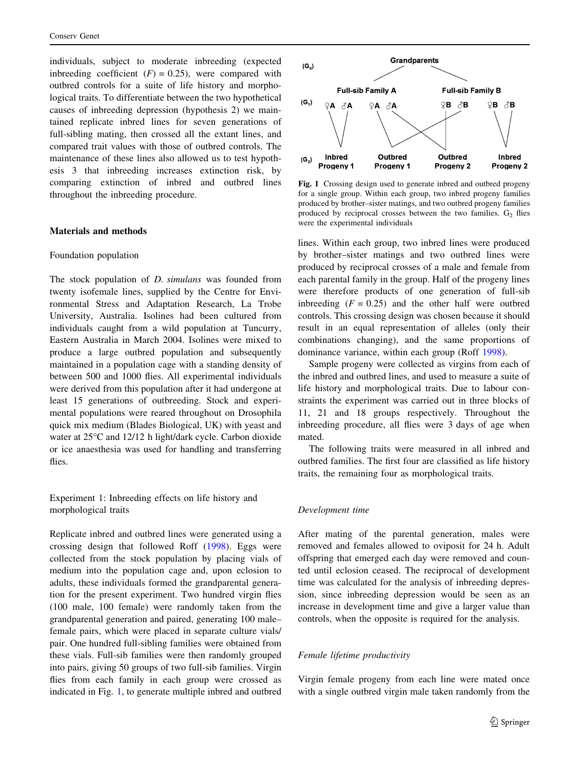<span id="page-2-0"></span>individuals, subject to moderate inbreeding (expected inbreeding coefficient  $(F) = 0.25$ , were compared with outbred controls for a suite of life history and morphological traits. To differentiate between the two hypothetical causes of inbreeding depression (hypothesis 2) we maintained replicate inbred lines for seven generations of full-sibling mating, then crossed all the extant lines, and compared trait values with those of outbred controls. The maintenance of these lines also allowed us to test hypothesis 3 that inbreeding increases extinction risk, by comparing extinction of inbred and outbred lines throughout the inbreeding procedure.

#### Materials and methods

#### Foundation population

The stock population of *D. simulans* was founded from twenty isofemale lines, supplied by the Centre for Environmental Stress and Adaptation Research, La Trobe University, Australia. Isolines had been cultured from individuals caught from a wild population at Tuncurry, Eastern Australia in March 2004. Isolines were mixed to produce a large outbred population and subsequently maintained in a population cage with a standing density of between 500 and 1000 flies. All experimental individuals were derived from this population after it had undergone at least 15 generations of outbreeding. Stock and experimental populations were reared throughout on Drosophila quick mix medium (Blades Biological, UK) with yeast and water at 25°C and 12/12 h light/dark cycle. Carbon dioxide or ice anaesthesia was used for handling and transferring flies.

Experiment 1: Inbreeding effects on life history and morphological traits

Replicate inbred and outbred lines were generated using a crossing design that followed Roff [\(1998](#page-10-0)). Eggs were collected from the stock population by placing vials of medium into the population cage and, upon eclosion to adults, these individuals formed the grandparental generation for the present experiment. Two hundred virgin flies (100 male, 100 female) were randomly taken from the grandparental generation and paired, generating 100 male– female pairs, which were placed in separate culture vials/ pair. One hundred full-sibling families were obtained from these vials. Full-sib families were then randomly grouped into pairs, giving 50 groups of two full-sib families. Virgin flies from each family in each group were crossed as indicated in Fig. 1, to generate multiple inbred and outbred



Fig. 1 Crossing design used to generate inbred and outbred progeny for a single group. Within each group, two inbred progeny families produced by brother–sister matings, and two outbred progeny families produced by reciprocal crosses between the two families.  $G_2$  flies were the experimental individuals

lines. Within each group, two inbred lines were produced by brother–sister matings and two outbred lines were produced by reciprocal crosses of a male and female from each parental family in the group. Half of the progeny lines were therefore products of one generation of full-sib inbreeding  $(F = 0.25)$  and the other half were outbred controls. This crossing design was chosen because it should result in an equal representation of alleles (only their combinations changing), and the same proportions of dominance variance, within each group (Roff [1998](#page-10-0)).

Sample progeny were collected as virgins from each of the inbred and outbred lines, and used to measure a suite of life history and morphological traits. Due to labour constraints the experiment was carried out in three blocks of 11, 21 and 18 groups respectively. Throughout the inbreeding procedure, all flies were 3 days of age when mated.

The following traits were measured in all inbred and outbred families. The first four are classified as life history traits, the remaining four as morphological traits.

#### Development time

After mating of the parental generation, males were removed and females allowed to oviposit for 24 h. Adult offspring that emerged each day were removed and counted until eclosion ceased. The reciprocal of development time was calculated for the analysis of inbreeding depression, since inbreeding depression would be seen as an increase in development time and give a larger value than controls, when the opposite is required for the analysis.

#### Female lifetime productivity

Virgin female progeny from each line were mated once with a single outbred virgin male taken randomly from the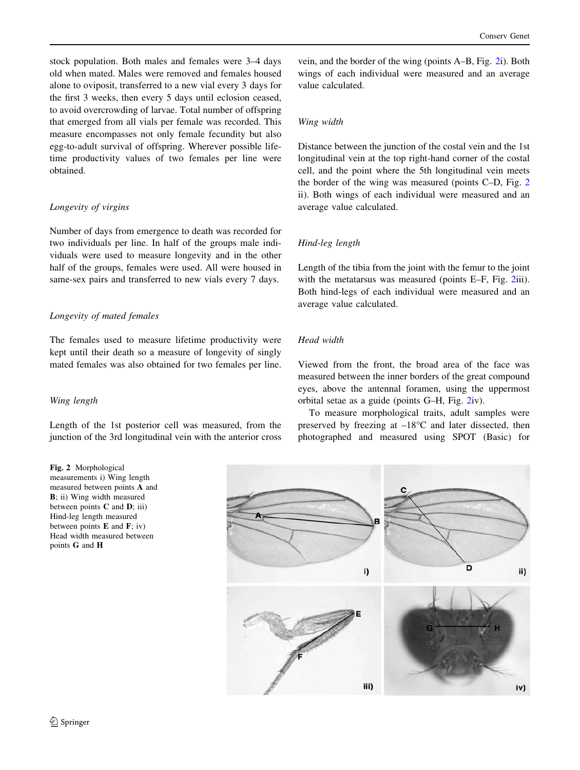stock population. Both males and females were 3–4 days old when mated. Males were removed and females housed alone to oviposit, transferred to a new vial every 3 days for the first 3 weeks, then every 5 days until eclosion ceased, to avoid overcrowding of larvae. Total number of offspring that emerged from all vials per female was recorded. This measure encompasses not only female fecundity but also egg-to-adult survival of offspring. Wherever possible lifetime productivity values of two females per line were obtained.

## Longevity of virgins

Number of days from emergence to death was recorded for two individuals per line. In half of the groups male individuals were used to measure longevity and in the other half of the groups, females were used. All were housed in same-sex pairs and transferred to new vials every 7 days.

## Longevity of mated females

The females used to measure lifetime productivity were kept until their death so a measure of longevity of singly mated females was also obtained for two females per line.

## Wing length

Length of the 1st posterior cell was measured, from the junction of the 3rd longitudinal vein with the anterior cross

Fig. 2 Morphological measurements i) Wing length measured between points A and B; ii) Wing width measured between points  $C$  and  $D$ ; iii) Hind-leg length measured between points  $E$  and  $F$ ; iv) Head width measured between points G and H

vein, and the border of the wing (points A–B, Fig. 2i). Both wings of each individual were measured and an average value calculated.

## Wing width

Distance between the junction of the costal vein and the 1st longitudinal vein at the top right-hand corner of the costal cell, and the point where the 5th longitudinal vein meets the border of the wing was measured (points C–D, Fig. 2 ii). Both wings of each individual were measured and an average value calculated.

## Hind-leg length

Length of the tibia from the joint with the femur to the joint with the metatarsus was measured (points E–F, Fig. 2iii). Both hind-legs of each individual were measured and an average value calculated.

# Head width

Viewed from the front, the broad area of the face was measured between the inner borders of the great compound eyes, above the antennal foramen, using the uppermost orbital setae as a guide (points G–H, Fig. 2iv).

To measure morphological traits, adult samples were preserved by freezing at  $-18^{\circ}$ C and later dissected, then photographed and measured using SPOT (Basic) for

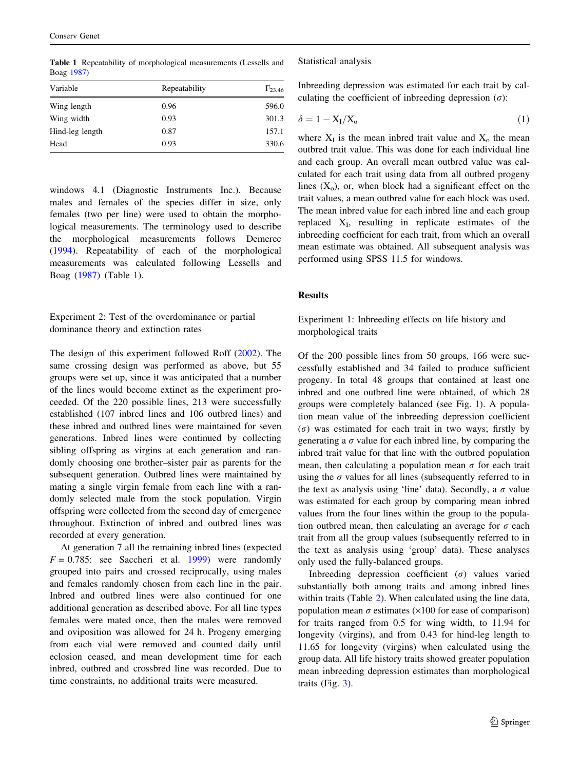| Variable        | Repeatability | $F_{23,46}$ |  |  |  |
|-----------------|---------------|-------------|--|--|--|
| Wing length     | 0.96          | 596.0       |  |  |  |
| Wing width      | 0.93          | 301.3       |  |  |  |
| Hind-leg length | 0.87          | 157.1       |  |  |  |
| Head            | 0.93          | 330.6       |  |  |  |

Table 1 Repeatability of morphological measurements (Lessells and Boag [1987\)](#page-9-0)

windows 4.1 (Diagnostic Instruments Inc.). Because males and females of the species differ in size, only females (two per line) were used to obtain the morphological measurements. The terminology used to describe the morphological measurements follows Demerec [\(1994](#page-9-0)). Repeatability of each of the morphological measurements was calculated following Lessells and Boag ([1987\)](#page-9-0) (Table 1).

Experiment 2: Test of the overdominance or partial dominance theory and extinction rates

The design of this experiment followed Roff ([2002\)](#page-10-0). The same crossing design was performed as above, but 55 groups were set up, since it was anticipated that a number of the lines would become extinct as the experiment proceeded. Of the 220 possible lines, 213 were successfully established (107 inbred lines and 106 outbred lines) and these inbred and outbred lines were maintained for seven generations. Inbred lines were continued by collecting sibling offspring as virgins at each generation and randomly choosing one brother–sister pair as parents for the subsequent generation. Outbred lines were maintained by mating a single virgin female from each line with a randomly selected male from the stock population. Virgin offspring were collected from the second day of emergence throughout. Extinction of inbred and outbred lines was recorded at every generation.

At generation 7 all the remaining inbred lines (expected  $F = 0.785$ : see Saccheri et al. [1999\)](#page-10-0) were randomly grouped into pairs and crossed reciprocally, using males and females randomly chosen from each line in the pair. Inbred and outbred lines were also continued for one additional generation as described above. For all line types females were mated once, then the males were removed and oviposition was allowed for 24 h. Progeny emerging from each vial were removed and counted daily until eclosion ceased, and mean development time for each inbred, outbred and crossbred line was recorded. Due to time constraints, no additional traits were measured.

Statistical analysis

Inbreeding depression was estimated for each trait by calculating the coefficient of inbreeding depression  $(\sigma)$ :

$$
\delta = 1 - X_I/X_o \tag{1}
$$

where  $X_I$  is the mean inbred trait value and  $X_O$  the mean outbred trait value. This was done for each individual line and each group. An overall mean outbred value was calculated for each trait using data from all outbred progeny lines  $(X_0)$ , or, when block had a significant effect on the trait values, a mean outbred value for each block was used. The mean inbred value for each inbred line and each group replaced  $X_I$ , resulting in replicate estimates of the inbreeding coefficient for each trait, from which an overall mean estimate was obtained. All subsequent analysis was performed using SPSS 11.5 for windows.

## **Results**

Experiment 1: Inbreeding effects on life history and morphological traits

Of the 200 possible lines from 50 groups, 166 were successfully established and 34 failed to produce sufficient progeny. In total 48 groups that contained at least one inbred and one outbred line were obtained, of which 28 groups were completely balanced (see Fig. [1\)](#page-2-0). A population mean value of the inbreeding depression coefficient  $\sigma$ ) was estimated for each trait in two ways; firstly by generating a  $\sigma$  value for each inbred line, by comparing the inbred trait value for that line with the outbred population mean, then calculating a population mean  $\sigma$  for each trait using the  $\sigma$  values for all lines (subsequently referred to in the text as analysis using 'line' data). Secondly, a  $\sigma$  value was estimated for each group by comparing mean inbred values from the four lines within the group to the population outbred mean, then calculating an average for  $\sigma$  each trait from all the group values (subsequently referred to in the text as analysis using 'group' data). These analyses only used the fully-balanced groups.

Inbreeding depression coefficient  $(\sigma)$  values varied substantially both among traits and among inbred lines within traits (Table [2](#page-5-0)). When calculated using the line data, population mean  $\sigma$  estimates ( $\times$ 100 for ease of comparison) for traits ranged from 0.5 for wing width, to 11.94 for longevity (virgins), and from 0.43 for hind-leg length to 11.65 for longevity (virgins) when calculated using the group data. All life history traits showed greater population mean inbreeding depression estimates than morphological traits (Fig. [3\)](#page-5-0).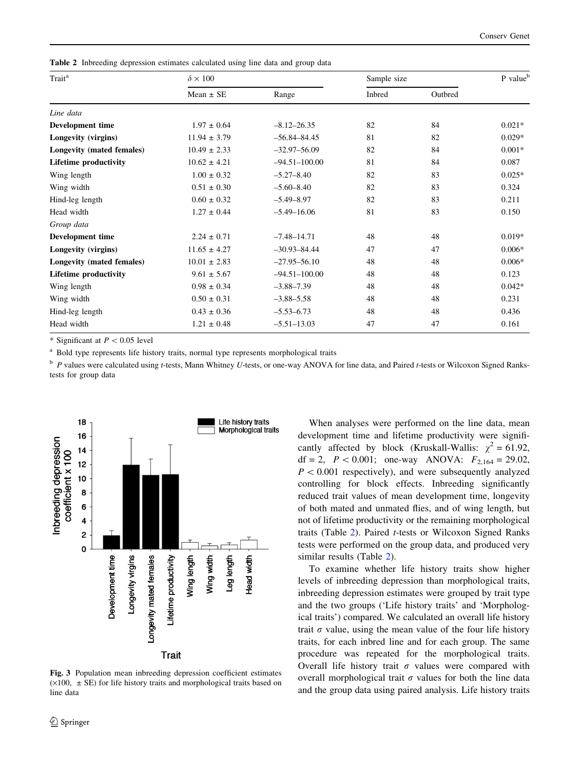<span id="page-5-0"></span>Table 2 Inbreeding depression estimates calculated using line data and group data

| Trait <sup>a</sup>           | $\delta \times 100$ |                   | Sample size |         |          |
|------------------------------|---------------------|-------------------|-------------|---------|----------|
|                              | Mean $\pm$ SE       | Range             | Inbred      | Outbred |          |
| Line data                    |                     |                   |             |         |          |
| Development time             | $1.97 \pm 0.64$     | $-8.12 - 26.35$   | 82          | 84      | $0.021*$ |
| Longevity (virgins)          | $11.94 \pm 3.79$    | $-56.84 - 84.45$  | 81          | 82      | $0.029*$ |
| Longevity (mated females)    | $10.49 \pm 2.33$    | $-32.97 - 56.09$  | 82          | 84      | $0.001*$ |
| <b>Lifetime productivity</b> | $10.62 \pm 4.21$    | $-94.51 - 100.00$ | 81          | 84      | 0.087    |
| Wing length                  | $1.00 \pm 0.32$     | $-5.27 - 8.40$    | 82          | 83      | $0.025*$ |
| Wing width                   | $0.51 \pm 0.30$     | $-5.60 - 8.40$    | 82          | 83      | 0.324    |
| Hind-leg length              | $0.60 \pm 0.32$     | $-5.49 - 8.97$    | 82          | 83      | 0.211    |
| Head width                   | $1.27 \pm 0.44$     | $-5.49 - 16.06$   | 81          | 83      | 0.150    |
| Group data                   |                     |                   |             |         |          |
| <b>Development time</b>      | $2.24 \pm 0.71$     | $-7.48 - 14.71$   | 48          | 48      | $0.019*$ |
| Longevity (virgins)          | $11.65 \pm 4.27$    | $-30.93 - 84.44$  | 47          | 47      | $0.006*$ |
| Longevity (mated females)    | $10.01 \pm 2.83$    | $-27.95 - 56.10$  | 48          | 48      | $0.006*$ |
| <b>Lifetime productivity</b> | $9.61 \pm 5.67$     | $-94.51 - 100.00$ | 48          | 48      | 0.123    |
| Wing length                  | $0.98 \pm 0.34$     | $-3.88 - 7.39$    | 48          | 48      | $0.042*$ |
| Wing width                   | $0.50 \pm 0.31$     | $-3.88 - 5.58$    | 48          | 48      | 0.231    |
| Hind-leg length              | $0.43 \pm 0.36$     | $-5.53 - 6.73$    | 48          | 48      | 0.436    |
| Head width                   | $1.21 \pm 0.48$     | $-5.51 - 13.03$   | 47          | 47      | 0.161    |

\* Significant at  $P < 0.05$  level

<sup>a</sup> Bold type represents life history traits, normal type represents morphological traits

 $b$  P values were calculated using t-tests, Mann Whitney U-tests, or one-way ANOVA for line data, and Paired t-tests or Wilcoxon Signed Rankstests for group data



Fig. 3 Population mean inbreeding depression coefficient estimates  $(\times 100, \pm \text{SE})$  for life history traits and morphological traits based on line data

When analyses were performed on the line data, mean development time and lifetime productivity were significantly affected by block (Kruskall-Wallis:  $\chi^2 = 61.92$ , df = 2,  $P < 0.001$ ; one-way ANOVA:  $F_{2,164} = 29.02$ ,  $P < 0.001$  respectively), and were subsequently analyzed controlling for block effects. Inbreeding significantly reduced trait values of mean development time, longevity of both mated and unmated flies, and of wing length, but not of lifetime productivity or the remaining morphological traits (Table 2). Paired t-tests or Wilcoxon Signed Ranks tests were performed on the group data, and produced very similar results (Table 2).

To examine whether life history traits show higher levels of inbreeding depression than morphological traits, inbreeding depression estimates were grouped by trait type and the two groups ('Life history traits' and 'Morphological traits') compared. We calculated an overall life history trait  $\sigma$  value, using the mean value of the four life history traits, for each inbred line and for each group. The same procedure was repeated for the morphological traits. Overall life history trait  $\sigma$  values were compared with overall morphological trait  $\sigma$  values for both the line data and the group data using paired analysis. Life history traits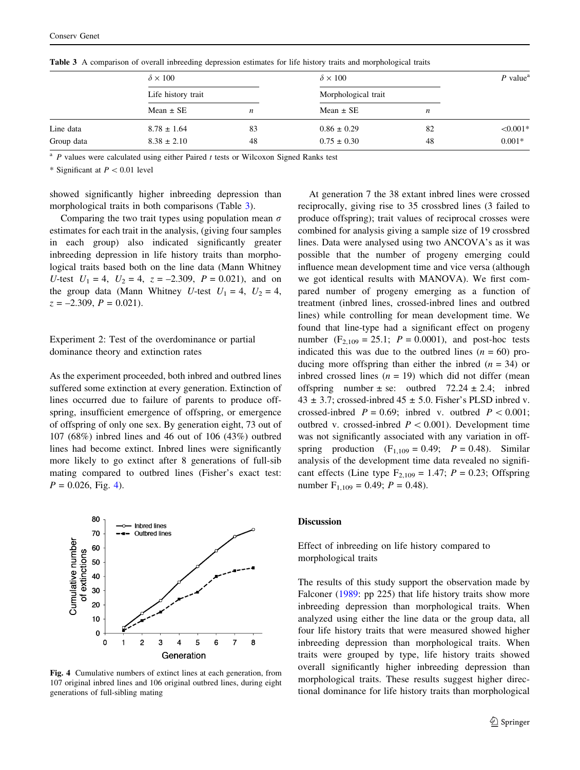|            | $\delta \times 100$<br>Life history trait |                  | $\delta \times 100$<br>Morphological trait |    | $P$ value <sup>a</sup> |
|------------|-------------------------------------------|------------------|--------------------------------------------|----|------------------------|
|            |                                           |                  |                                            |    |                        |
|            | Mean $\pm$ SE                             | $\boldsymbol{n}$ | Mean $\pm$ SE                              | n  |                        |
| Line data  | $8.78 \pm 1.64$                           | 83               | $0.86 \pm 0.29$                            | 82 | $< 0.001*$             |
| Group data | $8.38 \pm 2.10$                           | 48               | $0.75 \pm 0.30$                            | 48 | $0.001*$               |

Table 3 A comparison of overall inbreeding depression estimates for life history traits and morphological traits

 $A^2$  P values were calculated using either Paired t tests or Wilcoxon Signed Ranks test

\* Significant at  $P < 0.01$  level

showed significantly higher inbreeding depression than morphological traits in both comparisons (Table 3).

Comparing the two trait types using population mean  $\sigma$ estimates for each trait in the analysis, (giving four samples in each group) also indicated significantly greater inbreeding depression in life history traits than morphological traits based both on the line data (Mann Whitney U-test  $U_1 = 4$ ,  $U_2 = 4$ ,  $z = -2.309$ ,  $P = 0.021$ ), and on the group data (Mann Whitney U-test  $U_1 = 4$ ,  $U_2 = 4$ ,  $z = -2.309$ ,  $P = 0.021$ ).

Experiment 2: Test of the overdominance or partial dominance theory and extinction rates

As the experiment proceeded, both inbred and outbred lines suffered some extinction at every generation. Extinction of lines occurred due to failure of parents to produce offspring, insufficient emergence of offspring, or emergence of offspring of only one sex. By generation eight, 73 out of 107 (68%) inbred lines and 46 out of 106 (43%) outbred lines had become extinct. Inbred lines were significantly more likely to go extinct after 8 generations of full-sib mating compared to outbred lines (Fisher's exact test:  $P = 0.026$ , Fig. 4).



Fig. 4 Cumulative numbers of extinct lines at each generation, from 107 original inbred lines and 106 original outbred lines, during eight generations of full-sibling mating

At generation 7 the 38 extant inbred lines were crossed reciprocally, giving rise to 35 crossbred lines (3 failed to produce offspring); trait values of reciprocal crosses were combined for analysis giving a sample size of 19 crossbred lines. Data were analysed using two ANCOVA's as it was possible that the number of progeny emerging could influence mean development time and vice versa (although we got identical results with MANOVA). We first compared number of progeny emerging as a function of treatment (inbred lines, crossed-inbred lines and outbred lines) while controlling for mean development time. We found that line-type had a significant effect on progeny number ( $F_{2,109} = 25.1$ ;  $P = 0.0001$ ), and post-hoc tests indicated this was due to the outbred lines  $(n = 60)$  producing more offspring than either the inbred  $(n = 34)$  or inbred crossed lines  $(n = 19)$  which did not differ (mean offspring number  $\pm$  se: outbred 72.24  $\pm$  2.4; indeed  $43 \pm 3.7$ ; crossed-inbred  $45 \pm 5.0$ . Fisher's PLSD inbred v. crossed-inbred  $P = 0.69$ ; inbred v. outbred  $P < 0.001$ ; outbred v. crossed-inbred  $P < 0.001$ ). Development time was not significantly associated with any variation in offspring production  $(F_{1,109} = 0.49; P = 0.48)$ . Similar analysis of the development time data revealed no significant effects (Line type  $F_{2,109} = 1.47$ ;  $P = 0.23$ ; Offspring number  $F_{1,109} = 0.49$ ;  $P = 0.48$ ).

#### Discussion

Effect of inbreeding on life history compared to morphological traits

The results of this study support the observation made by Falconer ([1989:](#page-9-0) pp 225) that life history traits show more inbreeding depression than morphological traits. When analyzed using either the line data or the group data, all four life history traits that were measured showed higher inbreeding depression than morphological traits. When traits were grouped by type, life history traits showed overall significantly higher inbreeding depression than morphological traits. These results suggest higher directional dominance for life history traits than morphological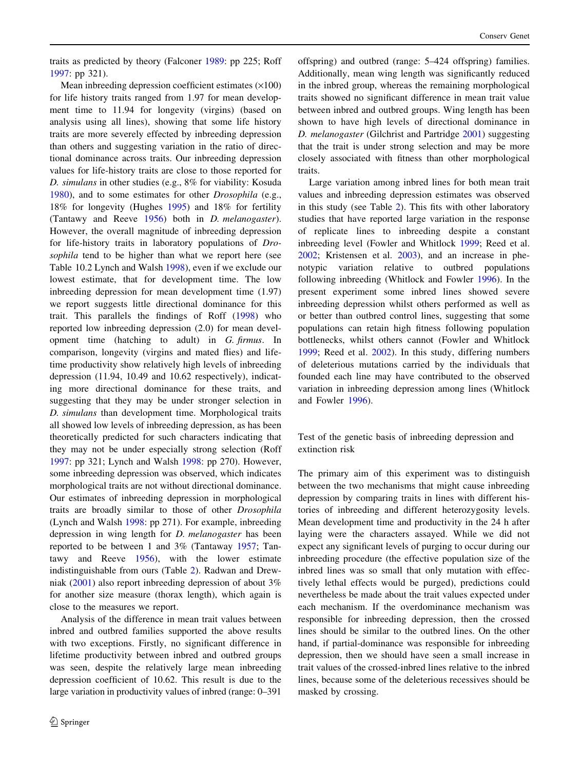traits as predicted by theory (Falconer [1989](#page-9-0): pp 225; Roff [1997:](#page-9-0) pp 321).

Mean inbreeding depression coefficient estimates  $(\times 100)$ for life history traits ranged from 1.97 for mean development time to 11.94 for longevity (virgins) (based on analysis using all lines), showing that some life history traits are more severely effected by inbreeding depression than others and suggesting variation in the ratio of directional dominance across traits. Our inbreeding depression values for life-history traits are close to those reported for D. simulans in other studies (e.g., 8% for viability: Kosuda [1980\)](#page-9-0), and to some estimates for other Drosophila (e.g., 18% for longevity (Hughes [1995\)](#page-9-0) and 18% for fertility (Tantawy and Reeve [1956\)](#page-10-0) both in D. melanogaster). However, the overall magnitude of inbreeding depression for life-history traits in laboratory populations of Drosophila tend to be higher than what we report here (see Table 10.2 Lynch and Walsh [1998\)](#page-9-0), even if we exclude our lowest estimate, that for development time. The low inbreeding depression for mean development time (1.97) we report suggests little directional dominance for this trait. This parallels the findings of Roff [\(1998](#page-10-0)) who reported low inbreeding depression (2.0) for mean development time (hatching to adult) in G. firmus. In comparison, longevity (virgins and mated flies) and lifetime productivity show relatively high levels of inbreeding depression (11.94, 10.49 and 10.62 respectively), indicating more directional dominance for these traits, and suggesting that they may be under stronger selection in D. simulans than development time. Morphological traits all showed low levels of inbreeding depression, as has been theoretically predicted for such characters indicating that they may not be under especially strong selection (Roff [1997:](#page-9-0) pp 321; Lynch and Walsh [1998:](#page-9-0) pp 270). However, some inbreeding depression was observed, which indicates morphological traits are not without directional dominance. Our estimates of inbreeding depression in morphological traits are broadly similar to those of other Drosophila (Lynch and Walsh [1998](#page-9-0): pp 271). For example, inbreeding depression in wing length for D. melanogaster has been reported to be between 1 and 3% (Tantaway [1957](#page-10-0); Tantawy and Reeve [1956\)](#page-10-0), with the lower estimate indistinguishable from ours (Table [2\)](#page-5-0). Radwan and Drewniak ([2001\)](#page-9-0) also report inbreeding depression of about 3% for another size measure (thorax length), which again is close to the measures we report.

Analysis of the difference in mean trait values between inbred and outbred families supported the above results with two exceptions. Firstly, no significant difference in lifetime productivity between inbred and outbred groups was seen, despite the relatively large mean inbreeding depression coefficient of 10.62. This result is due to the large variation in productivity values of inbred (range: 0–391

offspring) and outbred (range: 5–424 offspring) families. Additionally, mean wing length was significantly reduced in the inbred group, whereas the remaining morphological traits showed no significant difference in mean trait value between inbred and outbred groups. Wing length has been shown to have high levels of directional dominance in D. *melanogaster* (Gilchrist and Partridge [2001](#page-9-0)) suggesting that the trait is under strong selection and may be more closely associated with fitness than other morphological traits.

Large variation among inbred lines for both mean trait values and inbreeding depression estimates was observed in this study (see Table [2](#page-5-0)). This fits with other laboratory studies that have reported large variation in the response of replicate lines to inbreeding despite a constant inbreeding level (Fowler and Whitlock [1999](#page-9-0); Reed et al. [2002](#page-9-0); Kristensen et al. [2003\)](#page-9-0), and an increase in phenotypic variation relative to outbred populations following inbreeding (Whitlock and Fowler [1996](#page-10-0)). In the present experiment some inbred lines showed severe inbreeding depression whilst others performed as well as or better than outbred control lines, suggesting that some populations can retain high fitness following population bottlenecks, whilst others cannot (Fowler and Whitlock [1999](#page-9-0); Reed et al. [2002\)](#page-9-0). In this study, differing numbers of deleterious mutations carried by the individuals that founded each line may have contributed to the observed variation in inbreeding depression among lines (Whitlock and Fowler [1996](#page-10-0)).

Test of the genetic basis of inbreeding depression and extinction risk

The primary aim of this experiment was to distinguish between the two mechanisms that might cause inbreeding depression by comparing traits in lines with different histories of inbreeding and different heterozygosity levels. Mean development time and productivity in the 24 h after laying were the characters assayed. While we did not expect any significant levels of purging to occur during our inbreeding procedure (the effective population size of the inbred lines was so small that only mutation with effectively lethal effects would be purged), predictions could nevertheless be made about the trait values expected under each mechanism. If the overdominance mechanism was responsible for inbreeding depression, then the crossed lines should be similar to the outbred lines. On the other hand, if partial-dominance was responsible for inbreeding depression, then we should have seen a small increase in trait values of the crossed-inbred lines relative to the inbred lines, because some of the deleterious recessives should be masked by crossing.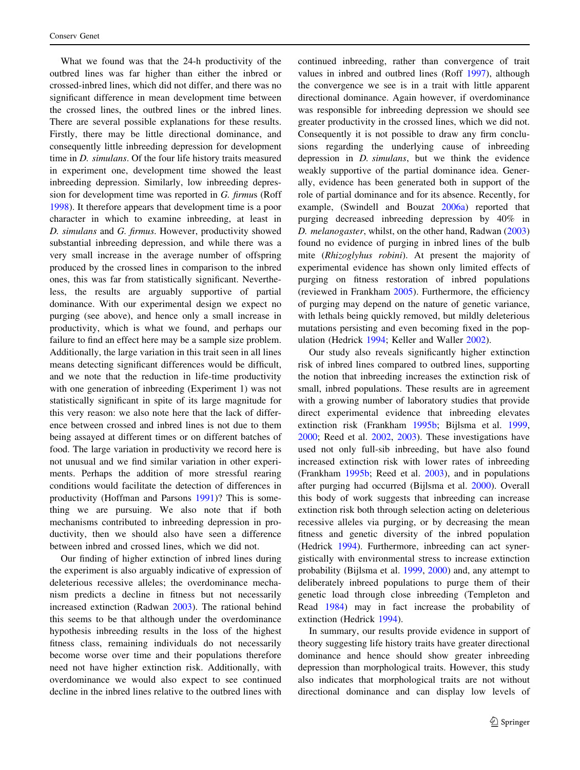What we found was that the 24-h productivity of the outbred lines was far higher than either the inbred or crossed-inbred lines, which did not differ, and there was no significant difference in mean development time between the crossed lines, the outbred lines or the inbred lines. There are several possible explanations for these results. Firstly, there may be little directional dominance, and consequently little inbreeding depression for development time in D. simulans. Of the four life history traits measured in experiment one, development time showed the least inbreeding depression. Similarly, low inbreeding depression for development time was reported in G. firmus (Roff [1998\)](#page-10-0). It therefore appears that development time is a poor character in which to examine inbreeding, at least in D. simulans and G. firmus. However, productivity showed substantial inbreeding depression, and while there was a very small increase in the average number of offspring produced by the crossed lines in comparison to the inbred ones, this was far from statistically significant. Nevertheless, the results are arguably supportive of partial dominance. With our experimental design we expect no purging (see above), and hence only a small increase in productivity, which is what we found, and perhaps our failure to find an effect here may be a sample size problem. Additionally, the large variation in this trait seen in all lines means detecting significant differences would be difficult, and we note that the reduction in life-time productivity with one generation of inbreeding (Experiment 1) was not statistically significant in spite of its large magnitude for this very reason: we also note here that the lack of difference between crossed and inbred lines is not due to them being assayed at different times or on different batches of food. The large variation in productivity we record here is not unusual and we find similar variation in other experiments. Perhaps the addition of more stressful rearing conditions would facilitate the detection of differences in productivity (Hoffman and Parsons [1991\)](#page-9-0)? This is something we are pursuing. We also note that if both mechanisms contributed to inbreeding depression in productivity, then we should also have seen a difference between inbred and crossed lines, which we did not.

Our finding of higher extinction of inbred lines during the experiment is also arguably indicative of expression of deleterious recessive alleles; the overdominance mechanism predicts a decline in fitness but not necessarily increased extinction (Radwan [2003](#page-9-0)). The rational behind this seems to be that although under the overdominance hypothesis inbreeding results in the loss of the highest fitness class, remaining individuals do not necessarily become worse over time and their populations therefore need not have higher extinction risk. Additionally, with overdominance we would also expect to see continued decline in the inbred lines relative to the outbred lines with continued inbreeding, rather than convergence of trait values in inbred and outbred lines (Roff [1997](#page-9-0)), although the convergence we see is in a trait with little apparent directional dominance. Again however, if overdominance was responsible for inbreeding depression we should see greater productivity in the crossed lines, which we did not. Consequently it is not possible to draw any firm conclusions regarding the underlying cause of inbreeding depression in D. simulans, but we think the evidence weakly supportive of the partial dominance idea. Generally, evidence has been generated both in support of the role of partial dominance and for its absence. Recently, for example, (Swindell and Bouzat [2006a\)](#page-10-0) reported that purging decreased inbreeding depression by 40% in D. melanogaster, whilst, on the other hand, Radwan ([2003\)](#page-9-0) found no evidence of purging in inbred lines of the bulb mite (Rhizoglyhus robini). At present the majority of experimental evidence has shown only limited effects of purging on fitness restoration of inbred populations (reviewed in Frankham [2005](#page-9-0)). Furthermore, the efficiency of purging may depend on the nature of genetic variance, with lethals being quickly removed, but mildly deleterious mutations persisting and even becoming fixed in the population (Hedrick [1994](#page-9-0); Keller and Waller [2002](#page-9-0)).

Our study also reveals significantly higher extinction risk of inbred lines compared to outbred lines, supporting the notion that inbreeding increases the extinction risk of small, inbred populations. These results are in agreement with a growing number of laboratory studies that provide direct experimental evidence that inbreeding elevates extinction risk (Frankham [1995b;](#page-9-0) Bijlsma et al. [1999,](#page-9-0) [2000](#page-9-0); Reed et al. [2002,](#page-9-0) [2003](#page-9-0)). These investigations have used not only full-sib inbreeding, but have also found increased extinction risk with lower rates of inbreeding (Frankham [1995b](#page-9-0); Reed et al. [2003](#page-9-0)), and in populations after purging had occurred (Bijlsma et al. [2000](#page-9-0)). Overall this body of work suggests that inbreeding can increase extinction risk both through selection acting on deleterious recessive alleles via purging, or by decreasing the mean fitness and genetic diversity of the inbred population (Hedrick [1994\)](#page-9-0). Furthermore, inbreeding can act synergistically with environmental stress to increase extinction probability (Bijlsma et al. [1999](#page-9-0), [2000](#page-9-0)) and, any attempt to deliberately inbreed populations to purge them of their genetic load through close inbreeding (Templeton and Read [1984\)](#page-10-0) may in fact increase the probability of extinction (Hedrick [1994](#page-9-0)).

In summary, our results provide evidence in support of theory suggesting life history traits have greater directional dominance and hence should show greater inbreeding depression than morphological traits. However, this study also indicates that morphological traits are not without directional dominance and can display low levels of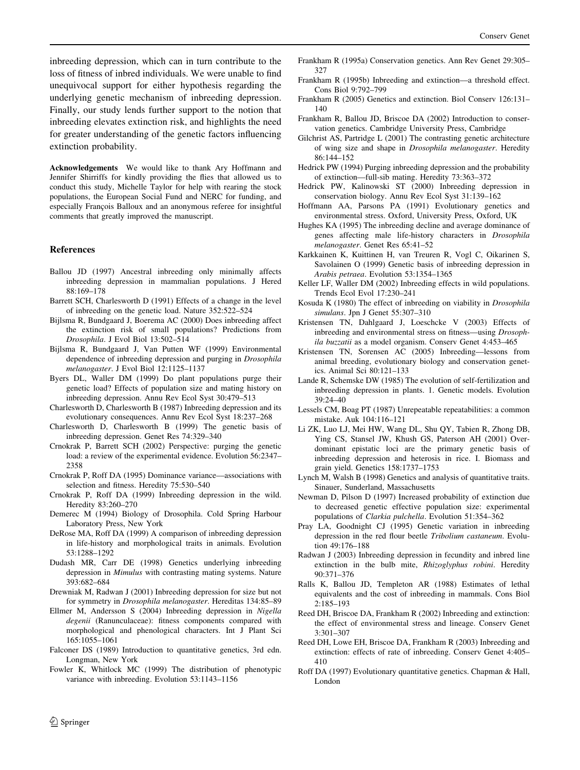<span id="page-9-0"></span>inbreeding depression, which can in turn contribute to the loss of fitness of inbred individuals. We were unable to find unequivocal support for either hypothesis regarding the underlying genetic mechanism of inbreeding depression. Finally, our study lends further support to the notion that inbreeding elevates extinction risk, and highlights the need for greater understanding of the genetic factors influencing extinction probability.

Acknowledgements We would like to thank Ary Hoffmann and Jennifer Shirriffs for kindly providing the flies that allowed us to conduct this study, Michelle Taylor for help with rearing the stock populations, the European Social Fund and NERC for funding, and especially François Balloux and an anonymous referee for insightful comments that greatly improved the manuscript.

#### References

- Ballou JD (1997) Ancestral inbreeding only minimally affects inbreeding depression in mammalian populations. J Hered 88:169–178
- Barrett SCH, Charlesworth D (1991) Effects of a change in the level of inbreeding on the genetic load. Nature 352:522–524
- Bijlsma R, Bundgaard J, Boerema AC (2000) Does inbreeding affect the extinction risk of small populations? Predictions from Drosophila. J Evol Biol 13:502–514
- Bijlsma R, Bundgaard J, Van Putten WF (1999) Environmental dependence of inbreeding depression and purging in Drosophila melanogaster. J Evol Biol 12:1125–1137
- Byers DL, Waller DM (1999) Do plant populations purge their genetic load? Effects of population size and mating history on inbreeding depression. Annu Rev Ecol Syst 30:479–513
- Charlesworth D, Charlesworth B (1987) Inbreeding depression and its evolutionary consequences. Annu Rev Ecol Syst 18:237–268
- Charlesworth D, Charlesworth B (1999) The genetic basis of inbreeding depression. Genet Res 74:329–340
- Crnokrak P, Barrett SCH (2002) Perspective: purging the genetic load: a review of the experimental evidence. Evolution 56:2347– 2358
- Crnokrak P, Roff DA (1995) Dominance variance––associations with selection and fitness. Heredity 75:530–540
- Crnokrak P, Roff DA (1999) Inbreeding depression in the wild. Heredity 83:260–270
- Demerec M (1994) Biology of Drosophila. Cold Spring Harbour Laboratory Press, New York
- DeRose MA, Roff DA (1999) A comparison of inbreeding depression in life-history and morphological traits in animals. Evolution 53:1288–1292
- Dudash MR, Carr DE (1998) Genetics underlying inbreeding depression in Mimulus with contrasting mating systems. Nature 393:682–684
- Drewniak M, Radwan J (2001) Inbreeding depression for size but not for symmetry in Drosophila melanogaster. Hereditas 134:85–89
- Ellmer M, Andersson S (2004) Inbreeding depression in Nigella degenii (Ranunculaceae): fitness components compared with morphological and phenological characters. Int J Plant Sci 165:1055–1061
- Falconer DS (1989) Introduction to quantitative genetics, 3rd edn. Longman, New York
- Fowler K, Whitlock MC (1999) The distribution of phenotypic variance with inbreeding. Evolution 53:1143–1156
- Frankham R (1995a) Conservation genetics. Ann Rev Genet 29:305– 327
- Frankham R (1995b) Inbreeding and extinction––a threshold effect. Cons Biol 9:792–799
- Frankham R (2005) Genetics and extinction. Biol Conserv 126:131– 140
- Frankham R, Ballou JD, Briscoe DA (2002) Introduction to conservation genetics. Cambridge University Press, Cambridge
- Gilchrist AS, Partridge L (2001) The contrasting genetic architecture of wing size and shape in Drosophila melanogaster. Heredity 86:144–152
- Hedrick PW (1994) Purging inbreeding depression and the probability of extinction––full-sib mating. Heredity 73:363–372
- Hedrick PW, Kalinowski ST (2000) Inbreeding depression in conservation biology. Annu Rev Ecol Syst 31:139–162
- Hoffmann AA, Parsons PA (1991) Evolutionary genetics and environmental stress. Oxford, University Press, Oxford, UK
- Hughes KA (1995) The inbreeding decline and average dominance of genes affecting male life-history characters in Drosophila melanogaster. Genet Res 65:41–52
- Karkkainen K, Kuittinen H, van Treuren R, Vogl C, Oikarinen S, Savolainen O (1999) Genetic basis of inbreeding depression in Arabis petraea. Evolution 53:1354–1365
- Keller LF, Waller DM (2002) Inbreeding effects in wild populations. Trends Ecol Evol 17:230–241
- Kosuda K (1980) The effect of inbreeding on viability in Drosophila simulans. Jpn J Genet 55:307–310
- Kristensen TN, Dahlgaard J, Loeschcke V (2003) Effects of inbreeding and environmental stress on fitness––using Drosophila buzzatii as a model organism. Conserv Genet 4:453–465
- Kristensen TN, Sorensen AC (2005) Inbreeding––lessons from animal breeding, evolutionary biology and conservation genetics. Animal Sci 80:121–133
- Lande R, Schemske DW (1985) The evolution of self-fertilization and inbreeding depression in plants. 1. Genetic models. Evolution 39:24–40
- Lessels CM, Boag PT (1987) Unrepeatable repeatabilities: a common mistake. Auk 104:116–121
- Li ZK, Luo LJ, Mei HW, Wang DL, Shu QY, Tabien R, Zhong DB, Ying CS, Stansel JW, Khush GS, Paterson AH (2001) Overdominant epistatic loci are the primary genetic basis of inbreeding depression and heterosis in rice. I. Biomass and grain yield. Genetics 158:1737–1753
- Lynch M, Walsh B (1998) Genetics and analysis of quantitative traits. Sinauer, Sunderland, Massachusetts
- Newman D, Pilson D (1997) Increased probability of extinction due to decreased genetic effective population size: experimental populations of Clarkia pulchella. Evolution 51:354–362
- Pray LA, Goodnight CJ (1995) Genetic variation in inbreeding depression in the red flour beetle Tribolium castaneum. Evolution 49:176–188
- Radwan J (2003) Inbreeding depression in fecundity and inbred line extinction in the bulb mite, Rhizoglyphus robini. Heredity 90:371–376
- Ralls K, Ballou JD, Templeton AR (1988) Estimates of lethal equivalents and the cost of inbreeding in mammals. Cons Biol 2:185–193
- Reed DH, Briscoe DA, Frankham R (2002) Inbreeding and extinction: the effect of environmental stress and lineage. Conserv Genet 3:301–307
- Reed DH, Lowe EH, Briscoe DA, Frankham R (2003) Inbreeding and extinction: effects of rate of inbreeding. Conserv Genet 4:405– 410
- Roff DA (1997) Evolutionary quantitative genetics. Chapman & Hall, London